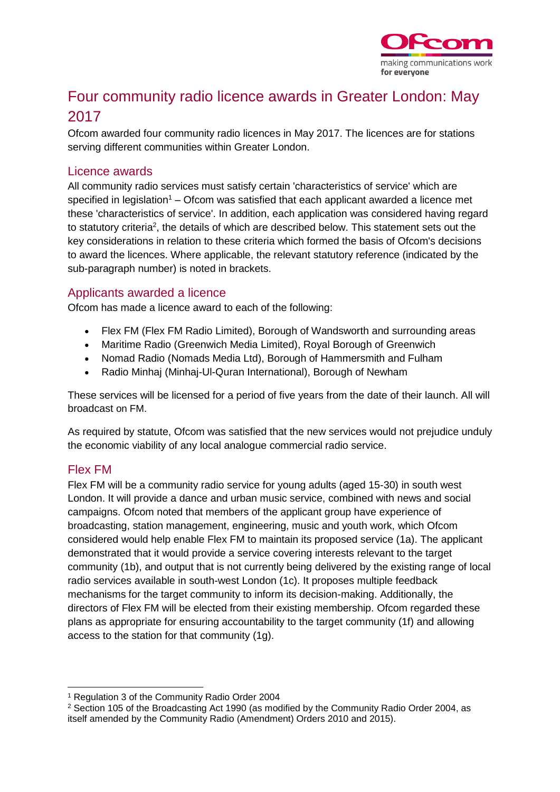

# Four community radio licence awards in Greater London: May 2017

Ofcom awarded four community radio licences in May 2017. The licences are for stations serving different communities within Greater London.

#### Licence awards

All community radio services must satisfy certain 'characteristics of service' which are specified in legislation<sup>1</sup> – Ofcom was satisfied that each applicant awarded a licence met these 'characteristics of service'. In addition, each application was considered having regard to statutory criteria<sup>2</sup>, the details of which are described below. This statement sets out the key considerations in relation to these criteria which formed the basis of Ofcom's decisions to award the licences. Where applicable, the relevant statutory reference (indicated by the sub-paragraph number) is noted in brackets.

#### Applicants awarded a licence

Ofcom has made a licence award to each of the following:

- Flex FM (Flex FM Radio Limited), Borough of Wandsworth and surrounding areas
- Maritime Radio (Greenwich Media Limited), Royal Borough of Greenwich
- Nomad Radio (Nomads Media Ltd), Borough of Hammersmith and Fulham
- Radio Minhaj (Minhaj-Ul-Quran International), Borough of Newham

These services will be licensed for a period of five years from the date of their launch. All will broadcast on FM.

As required by statute, Ofcom was satisfied that the new services would not prejudice unduly the economic viability of any local analogue commercial radio service.

# Flex FM

Flex FM will be a community radio service for young adults (aged 15-30) in south west London. It will provide a dance and urban music service, combined with news and social campaigns. Ofcom noted that members of the applicant group have experience of broadcasting, station management, engineering, music and youth work, which Ofcom considered would help enable Flex FM to maintain its proposed service (1a). The applicant demonstrated that it would provide a service covering interests relevant to the target community (1b), and output that is not currently being delivered by the existing range of local radio services available in south-west London (1c). It proposes multiple feedback mechanisms for the target community to inform its decision-making. Additionally, the directors of Flex FM will be elected from their existing membership. Ofcom regarded these plans as appropriate for ensuring accountability to the target community (1f) and allowing access to the station for that community (1g).

<sup>-</sup><sup>1</sup> Regulation 3 of the Community Radio Order 2004

<sup>2</sup> Section 105 of the Broadcasting Act 1990 (as modified by the Community Radio Order 2004, as itself amended by the Community Radio (Amendment) Orders 2010 and 2015).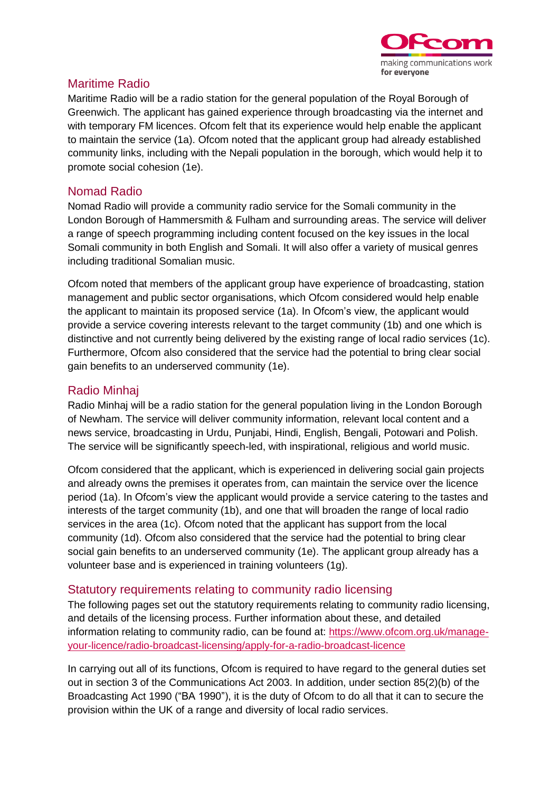

# Maritime Radio

Maritime Radio will be a radio station for the general population of the Royal Borough of Greenwich. The applicant has gained experience through broadcasting via the internet and with temporary FM licences. Ofcom felt that its experience would help enable the applicant to maintain the service (1a). Ofcom noted that the applicant group had already established community links, including with the Nepali population in the borough, which would help it to promote social cohesion (1e).

#### Nomad Radio

Nomad Radio will provide a community radio service for the Somali community in the London Borough of Hammersmith & Fulham and surrounding areas. The service will deliver a range of speech programming including content focused on the key issues in the local Somali community in both English and Somali. It will also offer a variety of musical genres including traditional Somalian music.

Ofcom noted that members of the applicant group have experience of broadcasting, station management and public sector organisations, which Ofcom considered would help enable the applicant to maintain its proposed service (1a). In Ofcom's view, the applicant would provide a service covering interests relevant to the target community (1b) and one which is distinctive and not currently being delivered by the existing range of local radio services (1c). Furthermore, Ofcom also considered that the service had the potential to bring clear social gain benefits to an underserved community (1e).

### Radio Minhaj

Radio Minhaj will be a radio station for the general population living in the London Borough of Newham. The service will deliver community information, relevant local content and a news service, broadcasting in Urdu, Punjabi, Hindi, English, Bengali, Potowari and Polish. The service will be significantly speech-led, with inspirational, religious and world music.

Ofcom considered that the applicant, which is experienced in delivering social gain projects and already owns the premises it operates from, can maintain the service over the licence period (1a). In Ofcom's view the applicant would provide a service catering to the tastes and interests of the target community (1b), and one that will broaden the range of local radio services in the area (1c). Ofcom noted that the applicant has support from the local community (1d). Ofcom also considered that the service had the potential to bring clear social gain benefits to an underserved community (1e). The applicant group already has a volunteer base and is experienced in training volunteers (1g).

# Statutory requirements relating to community radio licensing

The following pages set out the statutory requirements relating to community radio licensing, and details of the licensing process. Further information about these, and detailed information relating to community radio, can be found at: [https://www.ofcom.org.uk/manage](https://www.ofcom.org.uk/manage-your-licence/radio-broadcast-licensing/apply-for-a-radio-broadcast-licence)[your-licence/radio-broadcast-licensing/apply-for-a-radio-broadcast-licence](https://www.ofcom.org.uk/manage-your-licence/radio-broadcast-licensing/apply-for-a-radio-broadcast-licence)

In carrying out all of its functions, Ofcom is required to have regard to the general duties set out in section 3 of the Communications Act 2003. In addition, under section 85(2)(b) of the Broadcasting Act 1990 ("BA 1990"), it is the duty of Ofcom to do all that it can to secure the provision within the UK of a range and diversity of local radio services.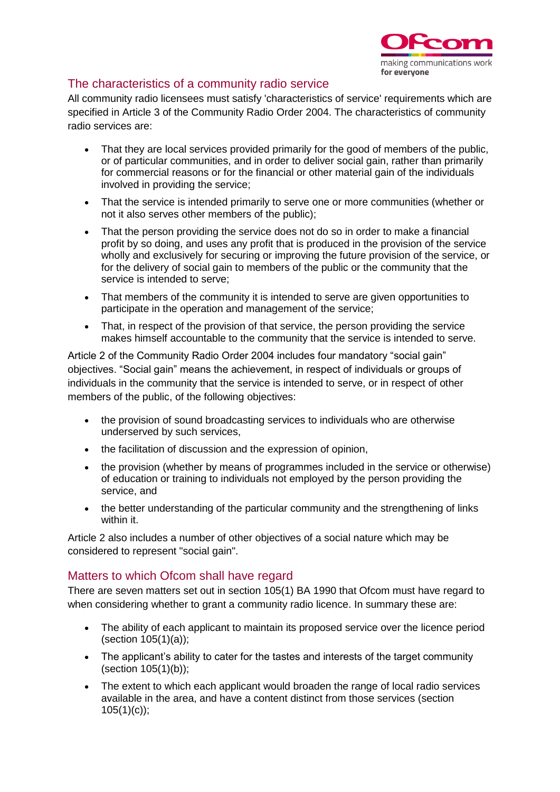

# The characteristics of a community radio service

All community radio licensees must satisfy 'characteristics of service' requirements which are specified in Article 3 of the Community Radio Order 2004. The characteristics of community radio services are:

- That they are local services provided primarily for the good of members of the public, or of particular communities, and in order to deliver social gain, rather than primarily for commercial reasons or for the financial or other material gain of the individuals involved in providing the service;
- That the service is intended primarily to serve one or more communities (whether or not it also serves other members of the public);
- That the person providing the service does not do so in order to make a financial profit by so doing, and uses any profit that is produced in the provision of the service wholly and exclusively for securing or improving the future provision of the service, or for the delivery of social gain to members of the public or the community that the service is intended to serve;
- That members of the community it is intended to serve are given opportunities to participate in the operation and management of the service;
- That, in respect of the provision of that service, the person providing the service makes himself accountable to the community that the service is intended to serve.

Article 2 of the Community Radio Order 2004 includes four mandatory "social gain" objectives. "Social gain" means the achievement, in respect of individuals or groups of individuals in the community that the service is intended to serve, or in respect of other members of the public, of the following objectives:

- the provision of sound broadcasting services to individuals who are otherwise underserved by such services,
- the facilitation of discussion and the expression of opinion,
- the provision (whether by means of programmes included in the service or otherwise) of education or training to individuals not employed by the person providing the service, and
- the better understanding of the particular community and the strengthening of links within it.

Article 2 also includes a number of other objectives of a social nature which may be considered to represent "social gain".

# Matters to which Ofcom shall have regard

There are seven matters set out in section 105(1) BA 1990 that Ofcom must have regard to when considering whether to grant a community radio licence. In summary these are:

- The ability of each applicant to maintain its proposed service over the licence period (section 105(1)(a));
- The applicant's ability to cater for the tastes and interests of the target community (section 105(1)(b));
- The extent to which each applicant would broaden the range of local radio services available in the area, and have a content distinct from those services (section  $105(1)(c)$ ;